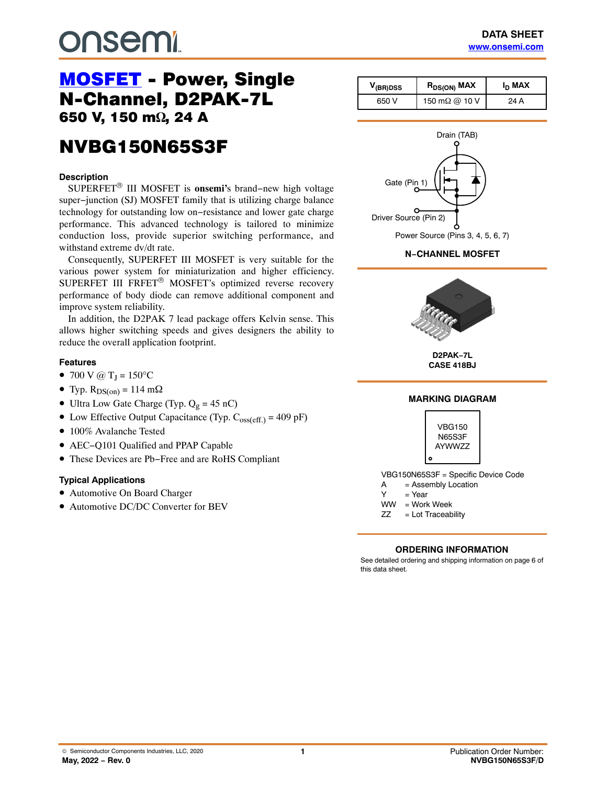# **DUSEMI**

# [MOSFET](https://www.onsemi.com/products/discretes-drivers/mosfets) - Power, Single<br>N-Channel, D2PAK-7L 650 V, 150 m $\Omega$ , 24 A ,  $\overline{a}$

# **NVBG150N65S3F** NVBG150N65S3F

#### **Description**

SUPERFET® III MOSFET is **onsemi'**s brand−new high voltage super−junction (SJ) MOSFET family that is utilizing charge balance technology for outstanding low on−resistance and lower gate charge performance. This advanced technology is tailored to minimize conduction loss, provide superior switching performance, and withstand extreme dv/dt rate.

Consequently, SUPERFET III MOSFET is very suitable for the various power system for miniaturization and higher efficiency. SUPERFET III FRFET® MOSFET's optimized reverse recovery performance of body diode can remove additional component and improve system reliability.

In addition, the D2PAK 7 lead package offers Kelvin sense. This allows higher switching speeds and gives designers the ability to reduce the overall application footprint.

#### **Features**

- 700 V @  $T_J = 150$ °C
- Typ.  $R_{DS(on)} = 114$  m $\Omega$
- Ultra Low Gate Charge (Typ.  $Q_g = 45$  nC)
- Low Effective Output Capacitance (Typ.  $C_{oss(eff.)} = 409$  pF)
- 100% Avalanche Tested
- AEC−Q101 Qualified and PPAP Capable
- These Devices are Pb−Free and are RoHS Compliant

#### **Typical Applications**

- Automotive On Board Charger
- Automotive DC/DC Converter for BEV

| $V_{(BR)DSS}$ | $R_{DS(ON)}$ MAX      | I <sub>D</sub> MAX |  |
|---------------|-----------------------|--------------------|--|
| 650 V         | 150 m $\Omega$ @ 10 V | 24 A               |  |



#### **N−CHANNEL MOSFET**



**D2PAK−7L CASE 418BJ**

#### **MARKING DIAGRAM**



VBG150N65S3F = Specific Device Code

- A = Assembly Location
- $Y = Year$
- WW = Work Week

ZZ = Lot Traceability

#### **ORDERING INFORMATION**

See detailed ordering and shipping information on page [6](#page-5-0) of this data sheet.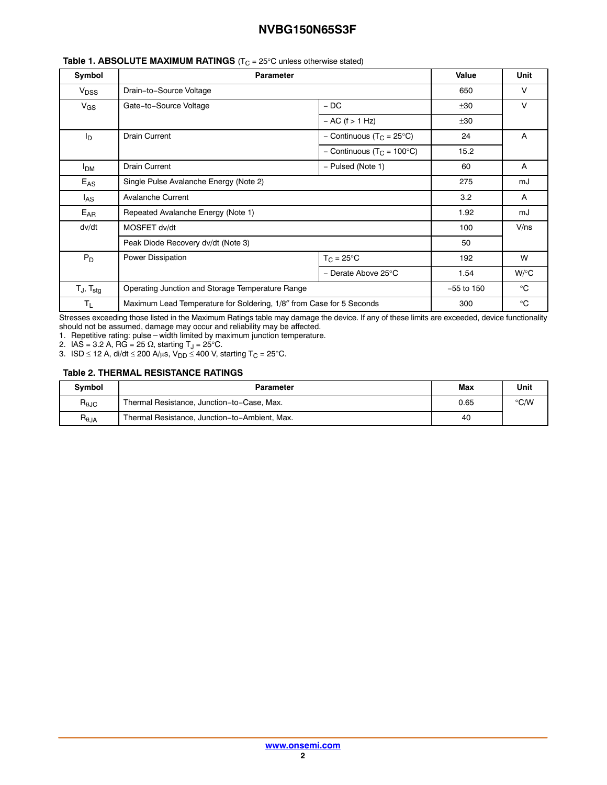| Symbol                   | <b>Parameter</b>                                                     |                                        | Value        | <b>Unit</b>  |
|--------------------------|----------------------------------------------------------------------|----------------------------------------|--------------|--------------|
| $V_{\text{DSS}}$         | Drain-to-Source Voltage                                              |                                        | 650          | V            |
| $V_{GS}$                 | Gate-to-Source Voltage                                               | $-DC$                                  | ±30          | $\vee$       |
|                          |                                                                      | $- AC$ (f $> 1 Hz$ )                   | ±30          |              |
| Iр                       | <b>Drain Current</b>                                                 | - Continuous (T <sub>C</sub> = 25°C)   | 24           | A            |
|                          |                                                                      | - Continuous (T <sub>C</sub> = 100°C)  | 15.2         |              |
| <b>I<sub>DM</sub></b>    | <b>Drain Current</b>                                                 | - Pulsed (Note 1)                      |              | A            |
| $E_{AS}$                 | Single Pulse Avalanche Energy (Note 2)                               |                                        | 275          | mJ           |
| l <sub>AS</sub>          | <b>Avalanche Current</b>                                             |                                        | 3.2          | A            |
| $E_{AR}$                 | Repeated Avalanche Energy (Note 1)                                   |                                        | 1.92         | mJ           |
| dv/dt                    | MOSFET dv/dt                                                         |                                        | 100          | $V$ /ns      |
|                          | Peak Diode Recovery dv/dt (Note 3)                                   |                                        | 50           |              |
| $P_D$                    | Power Dissipation                                                    | $T_{C} = 25^{\circ}C$                  | 192          | W            |
|                          |                                                                      | - Derate Above 25 $\mathrm{^{\circ}C}$ | 1.54         | $W$ /°C      |
| $T_J$ , $T_{\text{stg}}$ | Operating Junction and Storage Temperature Range                     |                                        | $-55$ to 150 | $^{\circ}$ C |
| $T_{L}$                  | Maximum Lead Temperature for Soldering, 1/8" from Case for 5 Seconds |                                        | 300          | $^{\circ}$ C |

#### **Table 1. ABSOLUTE MAXIMUM RATINGS** (T<sub>C</sub> = 25°C unless otherwise stated)

Stresses exceeding those listed in the Maximum Ratings table may damage the device. If any of these limits are exceeded, device functionality

should not be assumed, damage may occur and reliability may be affected. 1. Repetitive rating: pulse-width limited by maximum junction temperature.

2. IAS = 3.2 A, RG = 25  $\Omega$ , starting T<sub>J</sub> = 25°C.

3. ISD ≤ 12 A, di/dt ≤ 200 A/μs, V<sub>DD</sub> ≤ 400 V, starting T<sub>C</sub> = 25°C.

#### **Table 2. THERMAL RESISTANCE RATINGS**

| <b>Symbol</b>                    | Parameter                                     | Max  | Unit          |
|----------------------------------|-----------------------------------------------|------|---------------|
| $R_{\theta$ JC                   | Thermal Resistance, Junction-to-Case, Max.    | 0.65 | $\degree$ C/W |
| $\mathsf{R}_{\theta\mathsf{JA}}$ | Thermal Resistance, Junction-to-Ambient, Max. | 40   |               |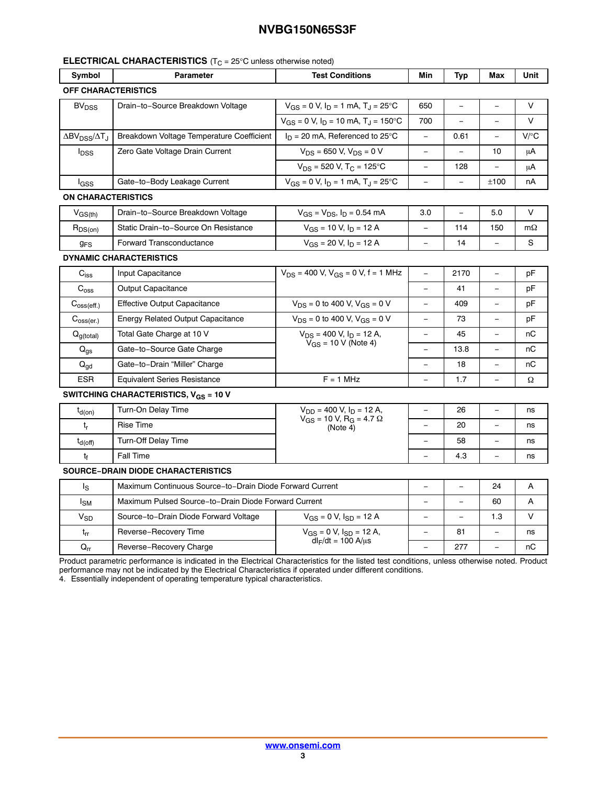#### **ELECTRICAL CHARACTERISTICS** (T<sub>C</sub> = 25°C unless otherwise noted)

| Symbol                                                       | <b>Parameter</b>                                         | <b>Test Conditions</b>                                     | Min                      | Typ                      | Max                      | Unit      |  |
|--------------------------------------------------------------|----------------------------------------------------------|------------------------------------------------------------|--------------------------|--------------------------|--------------------------|-----------|--|
| <b>OFF CHARACTERISTICS</b>                                   |                                                          |                                                            |                          |                          |                          |           |  |
| Drain-to-Source Breakdown Voltage<br><b>BV<sub>DSS</sub></b> |                                                          | $V_{GS} = 0$ V, $I_D = 1$ mA, $T_J = 25$ °C                | 650                      |                          |                          | $\vee$    |  |
|                                                              |                                                          | $V_{GS} = 0$ V, $I_D = 10$ mA, $T_L = 150$ °C              | 700                      | $\overline{\phantom{0}}$ | $\equiv$                 | $\vee$    |  |
| $\Delta$ BV <sub>DSS</sub> / $\Delta$ T <sub>J</sub>         | Breakdown Voltage Temperature Coefficient                | $I_D = 20$ mA, Referenced to 25°C                          | $\equiv$                 | 0.61                     | $\equiv$                 | $V$ / $C$ |  |
| Zero Gate Voltage Drain Current<br><b>l</b> <sub>DSS</sub>   |                                                          | $V_{DS}$ = 650 V, $V_{DS}$ = 0 V                           |                          |                          | 10                       | μA        |  |
|                                                              |                                                          | $V_{DS}$ = 520 V, T <sub>C</sub> = 125°C                   | $\overline{\phantom{0}}$ | 128                      |                          | μA        |  |
| lgss                                                         | Gate-to-Body Leakage Current                             | $V_{GS} = 0$ V, $I_D = 1$ mA, $T_J = 25$ °C                | $\equiv$                 | $\equiv$                 | ±100                     | nA        |  |
| <b>ON CHARACTERISTICS</b>                                    |                                                          |                                                            |                          |                          |                          |           |  |
| $V_{GS(th)}$                                                 | Drain-to-Source Breakdown Voltage                        | $V_{GS} = V_{DS}$ , $I_D = 0.54$ mA                        | 3.0                      | $\overline{\phantom{0}}$ | 5.0                      | $\vee$    |  |
| $R_{DS(on)}$                                                 | Static Drain-to-Source On Resistance                     | $V_{GS}$ = 10 V, $I_D$ = 12 A                              |                          | 114                      | 150                      | $m\Omega$ |  |
| <b>g<sub>FS</sub></b>                                        | Forward Transconductance                                 | $V_{GS}$ = 20 V, $I_D$ = 12 A                              | $\equiv$                 | 14                       |                          | S         |  |
|                                                              | <b>DYNAMIC CHARACTERISTICS</b>                           |                                                            |                          |                          |                          |           |  |
| $C_{iss}$                                                    | Input Capacitance                                        | $V_{DS}$ = 400 V, $V_{GS}$ = 0 V, f = 1 MHz                | $\overline{\phantom{0}}$ | 2170                     |                          | pF        |  |
| $C_{\rm oss}$                                                | Output Capacitance                                       |                                                            | $\equiv$                 | 41                       |                          | рF        |  |
| $C_{\text{oss}(eff.)}$                                       | <b>Effective Output Capacitance</b>                      | $V_{DS}$ = 0 to 400 V, $V_{GS}$ = 0 V                      | $\equiv$                 | 409                      | $\overline{\phantom{0}}$ | рF        |  |
| $C_{\text{oss}(er.)}$                                        | <b>Energy Related Output Capacitance</b>                 | $V_{DS}$ = 0 to 400 V, $V_{GS}$ = 0 V                      |                          | 73                       |                          | pF        |  |
| $Q_{g(total)}$                                               | Total Gate Charge at 10 V                                | $V_{DS}$ = 400 V, $I_D$ = 12 A,                            |                          | 45                       |                          | пC        |  |
| $Q_{\text{qs}}$                                              | Gate-to-Source Gate Charge                               | $V_{GS}$ = 10 V (Note 4)                                   | $\equiv$                 | 13.8                     | $\qquad \qquad -$        | пC        |  |
| $\mathsf{Q}_{\mathsf{gd}}$                                   | Gate-to-Drain "Miller" Charge                            |                                                            |                          | 18                       |                          | nC        |  |
| <b>ESR</b>                                                   | <b>Equivalent Series Resistance</b>                      | $F = 1$ MHz                                                | $\equiv$                 | 1.7                      |                          | Ω         |  |
|                                                              | SWITCHING CHARACTERISTICS, $V_{GS}$ = 10 V               |                                                            |                          |                          |                          |           |  |
| $t_{d(on)}$                                                  | Turn-On Delay Time                                       | $V_{DD}$ = 400 V, $I_D$ = 12 A,                            |                          | 26                       |                          | ns        |  |
| $t_{r}$                                                      | <b>Rise Time</b>                                         | $V_{GS}$ = 10 V, R <sub>G</sub> = 4.7 $\Omega$<br>(Note 4) |                          | 20                       |                          | ns        |  |
| $t_{d(off)}$                                                 | Turn-Off Delay Time                                      |                                                            | $\equiv$                 | 58                       |                          | ns        |  |
| tf                                                           | Fall Time                                                |                                                            |                          | 4.3                      |                          | ns        |  |
|                                                              | <b>SOURCE-DRAIN DIODE CHARACTERISTICS</b>                |                                                            |                          |                          |                          |           |  |
| ls                                                           | Maximum Continuous Source-to-Drain Diode Forward Current |                                                            |                          | $\equiv$                 | 24                       | A         |  |
| l <sub>SM</sub>                                              | Maximum Pulsed Source-to-Drain Diode Forward Current     |                                                            |                          |                          | 60                       | A         |  |
| $V_{SD}$                                                     | Source-to-Drain Diode Forward Voltage                    | $V_{GS} = 0 V$ , $I_{SD} = 12 A$                           | $\overline{\phantom{0}}$ | $\equiv$                 | 1.3                      | $\vee$    |  |
| $t_{rr}$                                                     | Reverse-Recovery Time                                    | $V_{GS} = 0 V$ , $I_{SD} = 12 A$ ,                         |                          | 81                       |                          | ns        |  |
| $\mathsf{Q}_{\mathsf{r}\mathsf{r}}$                          | Reverse-Recovery Charge                                  | $dl_F/dt = 100 A/μs$                                       | $\equiv$                 | 277                      | $\equiv$                 | пC        |  |

Product parametric performance is indicated in the Electrical Characteristics for the listed test conditions, unless otherwise noted. Product performance may not be indicated by the Electrical Characteristics if operated under different conditions.

4. Essentially independent of operating temperature typical characteristics.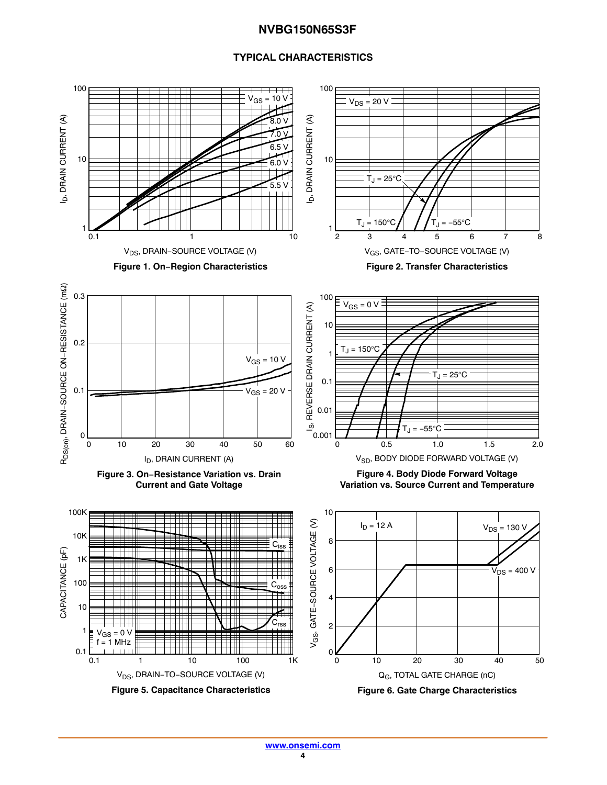#### **TYPICAL CHARACTERISTICS**

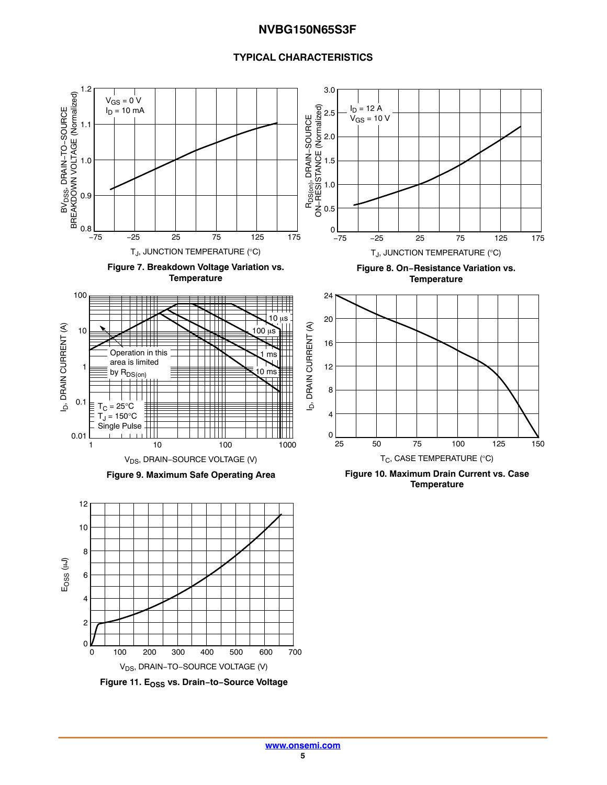#### **TYPICAL CHARACTERISTICS**

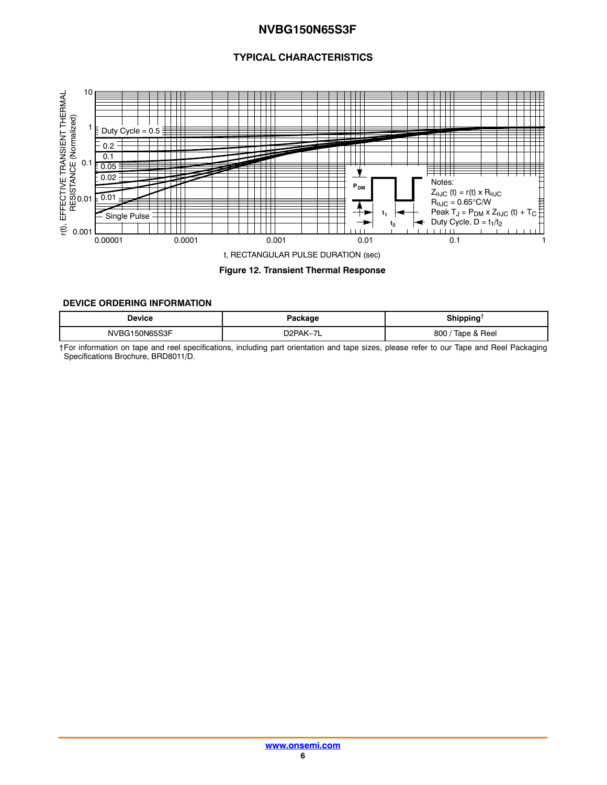## **TYPICAL CHARACTERISTICS**

<span id="page-5-0"></span>

**Figure 12. Transient Thermal Response**

#### **DEVICE ORDERING INFORMATION**

| Device        | Package                               | Shipping <sup>1</sup><br>. |
|---------------|---------------------------------------|----------------------------|
| NVBG150N65S3F | D <sub>2</sub> PAK-7<br>$\rightarrow$ | Tape & Reel<br>800/        |

†For information on tape and reel specifications, including part orientation and tape sizes, please refer to our Tape and Reel Packaging Specifications Brochure, BRD8011/D.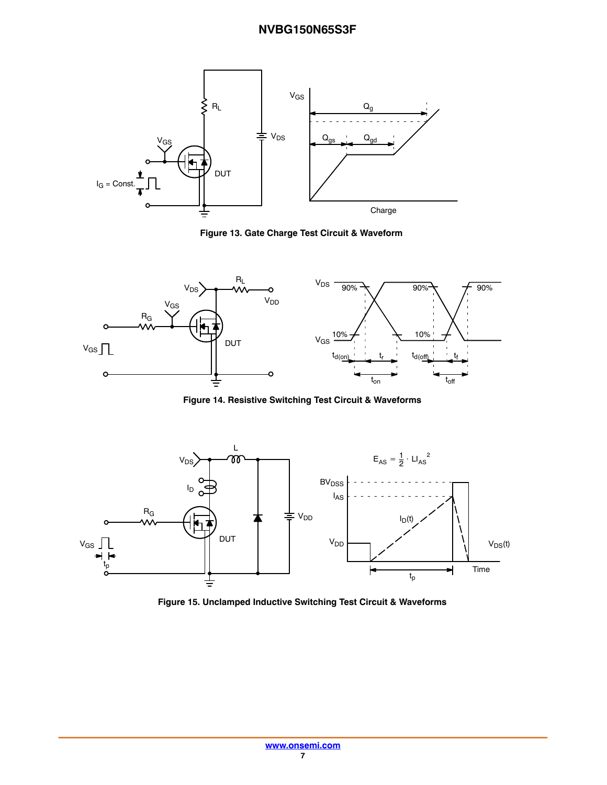

**Figure 13. Gate Charge Test Circuit & Waveform**



**Figure 14. Resistive Switching Test Circuit & Waveforms**



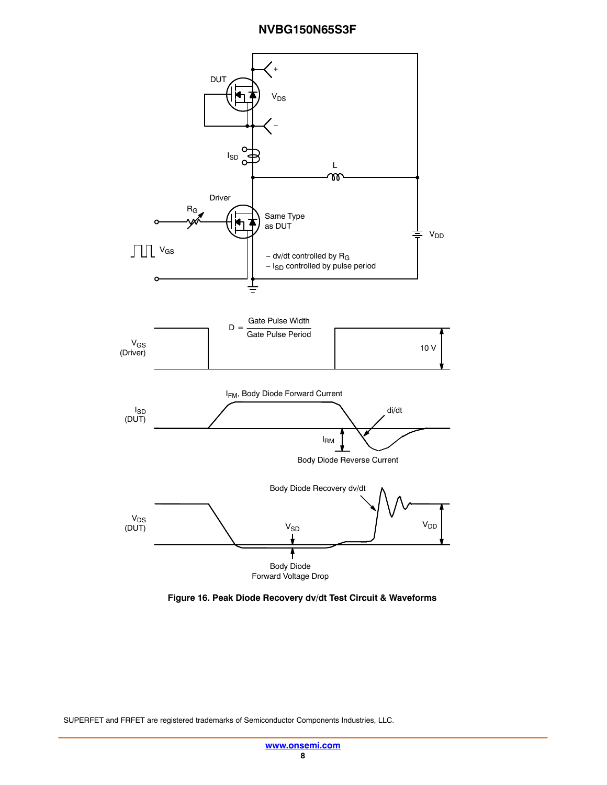

**Figure 16. Peak Diode Recovery dv/dt Test Circuit & Waveforms**

SUPERFET and FRFET are registered trademarks of Semiconductor Components Industries, LLC.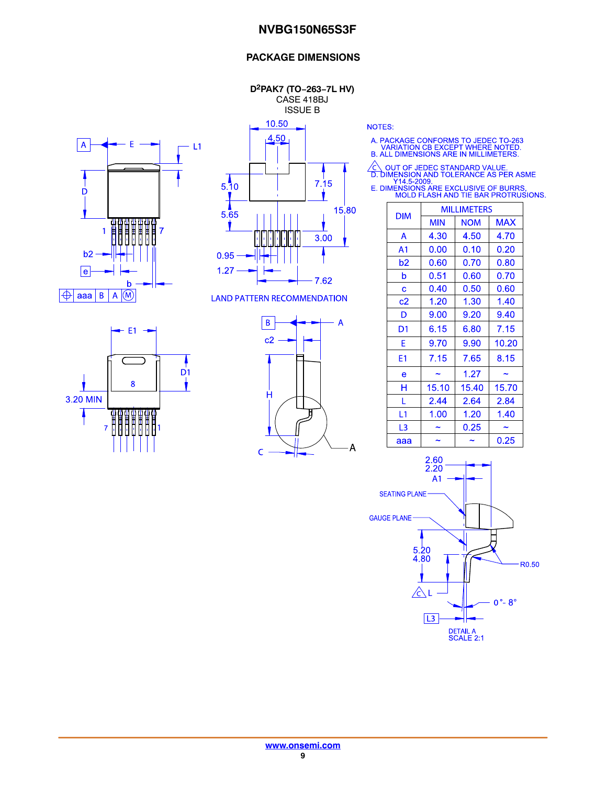#### **PACKAGE DIMENSIONS**

**D2PAK7 (TO−263−7L HV)** CASE 418BJ ISSUE B

10.50





**LAND PATTERN RECOMMENDATION** 

 $-E1 \overline{D}$ 1 8 3.20 MIN <del>gggggaa.</del><br>HHHHHHH  $\overline{7}$ 



**NOTES:** 

A. PACKAGE CONFORMS TO JEDEC TO-263<br>VARIATION CB EXCEPT WHERE NOTED.<br>B. ALL DIMENSIONS ARE IN MILLIMETERS.

△ OUT OF JEDEC STANDARD VALUE.<br>
D. DIMENSION AND TOLERANCE AS PER ASME<br>
Y14.5-2009.<br>
E. DIMENSIONS ARE EXCLUSIVE OF BURRS.<br>
MOLD FLASH AND TIE BAR PROTRUSIONS.

| <b>DIM</b>     | <b>MILLIMETERS</b> |            |            |  |
|----------------|--------------------|------------|------------|--|
|                | MIN                | <b>NOM</b> | <b>MAX</b> |  |
| A              | 4.30               | 4.50       | 4.70       |  |
| A <sub>1</sub> | 0.00               | 0.10       | 0.20       |  |
| b2             | 0.60               | 0.70       | 0.80       |  |
| b              | 0.51               | 0.60       | 0.70       |  |
| Ć              | 0.40               | 0.50       | 0.60       |  |
| c2             | 1.20               | 1.30       | 1.40       |  |
| D              | 9.00               | 9.20       | 9.40       |  |
| D1             | 6.15               | 6.80       | 7.15       |  |
| F              | 9.70               | 9.90       | 10.20      |  |
| E1             | 7.15               | 7.65       | 8.15       |  |
| e              |                    | 1.27       |            |  |
| н              | 15.10              | 15.40      | 15.70      |  |
| L              | 2.44               | 2.64       | 2.84       |  |
| L1             | 1.00               | 1.20       | 1.40       |  |
| L3             |                    | 0.25       |            |  |
| aaa            |                    |            | 0.25       |  |